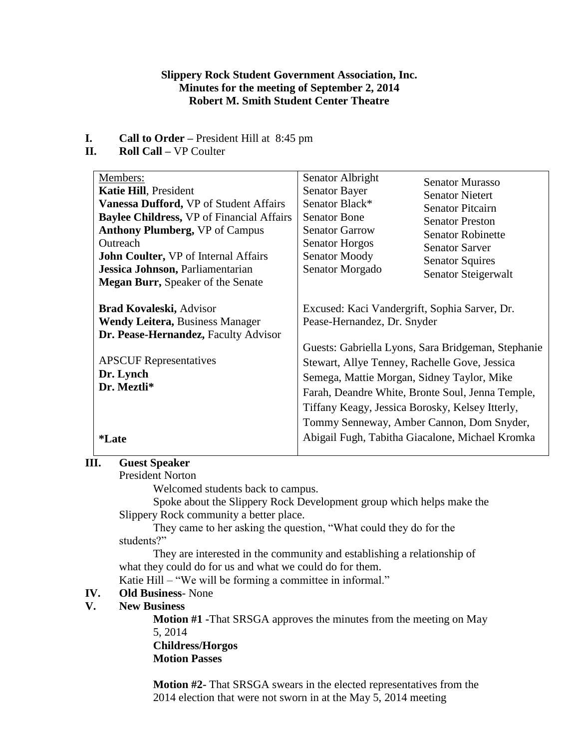### **Slippery Rock Student Government Association, Inc. Minutes for the meeting of September 2, 2014 Robert M. Smith Student Center Theatre**

- **I. Call to Order –** President Hill at 8:45 pm
- **II. Roll Call –** VP Coulter

| Members:                                         | Senator Albright                                   | <b>Senator Murasso</b>   |
|--------------------------------------------------|----------------------------------------------------|--------------------------|
| <b>Katie Hill, President</b>                     | <b>Senator Bayer</b>                               | <b>Senator Nietert</b>   |
| Vanessa Dufford, VP of Student Affairs           | Senator Black*                                     | <b>Senator Pitcairn</b>  |
| <b>Baylee Childress, VP of Financial Affairs</b> | <b>Senator Bone</b>                                | <b>Senator Preston</b>   |
| <b>Anthony Plumberg, VP of Campus</b>            | <b>Senator Garrow</b>                              | <b>Senator Robinette</b> |
| Outreach                                         | <b>Senator Horgos</b>                              | <b>Senator Sarver</b>    |
| <b>John Coulter, VP of Internal Affairs</b>      | <b>Senator Moody</b>                               | <b>Senator Squires</b>   |
| Jessica Johnson, Parliamentarian                 | Senator Morgado                                    | Senator Steigerwalt      |
| <b>Megan Burr, Speaker of the Senate</b>         |                                                    |                          |
|                                                  |                                                    |                          |
| <b>Brad Kovaleski, Advisor</b>                   | Excused: Kaci Vandergrift, Sophia Sarver, Dr.      |                          |
| <b>Wendy Leitera, Business Manager</b>           | Pease-Hernandez, Dr. Snyder                        |                          |
| Dr. Pease-Hernandez, Faculty Advisor             |                                                    |                          |
|                                                  | Guests: Gabriella Lyons, Sara Bridgeman, Stephanie |                          |
| <b>APSCUF</b> Representatives                    | Stewart, Allye Tenney, Rachelle Gove, Jessica      |                          |
| Dr. Lynch                                        | Semega, Mattie Morgan, Sidney Taylor, Mike         |                          |
| Dr. Meztli*                                      |                                                    |                          |
|                                                  | Farah, Deandre White, Bronte Soul, Jenna Temple,   |                          |
|                                                  | Tiffany Keagy, Jessica Borosky, Kelsey Itterly,    |                          |
|                                                  | Tommy Senneway, Amber Cannon, Dom Snyder,          |                          |
| *Late                                            | Abigail Fugh, Tabitha Giacalone, Michael Kromka    |                          |
|                                                  |                                                    |                          |

### **III. Guest Speaker**

President Norton

Welcomed students back to campus.

Spoke about the Slippery Rock Development group which helps make the Slippery Rock community a better place.

They came to her asking the question, "What could they do for the students?"

They are interested in the community and establishing a relationship of what they could do for us and what we could do for them.

Katie Hill – "We will be forming a committee in informal."

### **IV. Old Business**- None

# **V. New Business**

**Motion #1 -**That SRSGA approves the minutes from the meeting on May 5, 2014 **Childress/Horgos**

**Motion Passes**

**Motion #2-** That SRSGA swears in the elected representatives from the 2014 election that were not sworn in at the May 5, 2014 meeting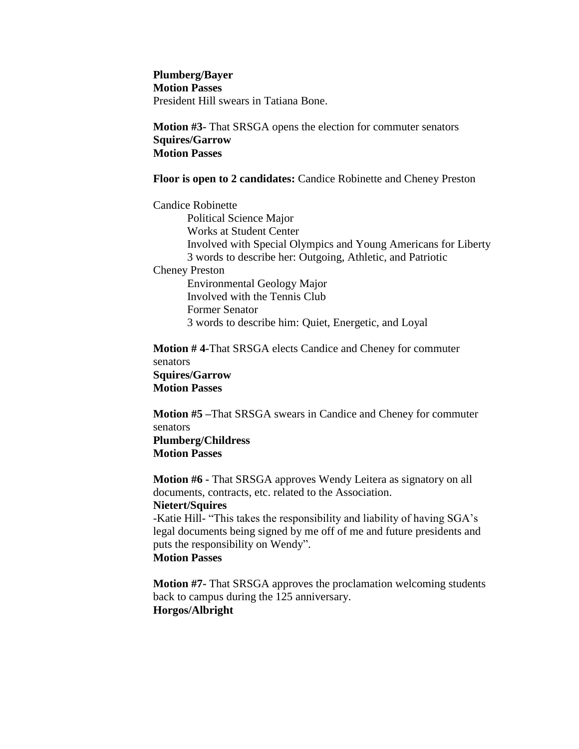**Plumberg/Bayer Motion Passes** President Hill swears in Tatiana Bone.

**Motion #3-** That SRSGA opens the election for commuter senators **Squires/Garrow Motion Passes**

#### **Floor is open to 2 candidates:** Candice Robinette and Cheney Preston

Candice Robinette Political Science Major Works at Student Center Involved with Special Olympics and Young Americans for Liberty 3 words to describe her: Outgoing, Athletic, and Patriotic Cheney Preston Environmental Geology Major

Involved with the Tennis Club Former Senator 3 words to describe him: Quiet, Energetic, and Loyal

**Motion # 4-**That SRSGA elects Candice and Cheney for commuter senators **Squires/Garrow Motion Passes**

**Motion #5 –**That SRSGA swears in Candice and Cheney for commuter senators **Plumberg/Childress Motion Passes**

**Motion #6 -** That SRSGA approves Wendy Leitera as signatory on all documents, contracts, etc. related to the Association. **Nietert/Squires**

-Katie Hill- "This takes the responsibility and liability of having SGA's legal documents being signed by me off of me and future presidents and puts the responsibility on Wendy". **Motion Passes**

**Motion #7-** That SRSGA approves the proclamation welcoming students back to campus during the 125 anniversary. **Horgos/Albright**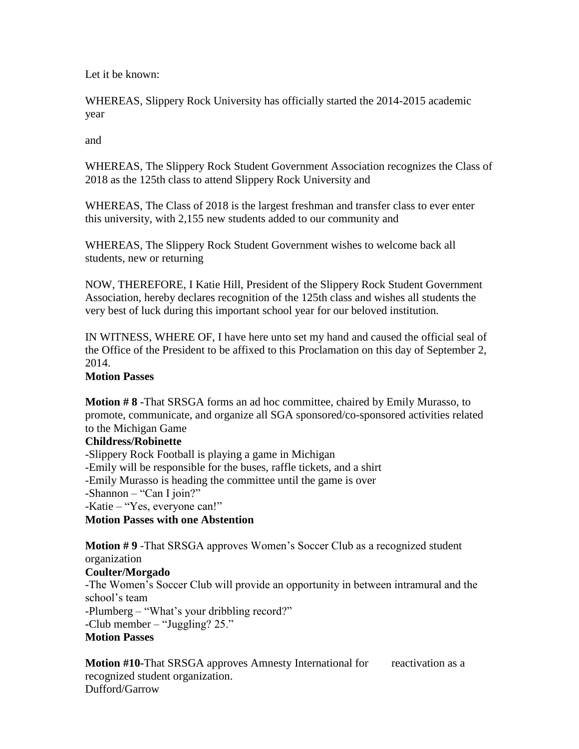Let it be known:

WHEREAS, Slippery Rock University has officially started the 2014-2015 academic year

and

WHEREAS, The Slippery Rock Student Government Association recognizes the Class of 2018 as the 125th class to attend Slippery Rock University and

WHEREAS, The Class of 2018 is the largest freshman and transfer class to ever enter this university, with 2,155 new students added to our community and

WHEREAS, The Slippery Rock Student Government wishes to welcome back all students, new or returning

NOW, THEREFORE, I Katie Hill, President of the Slippery Rock Student Government Association, hereby declares recognition of the 125th class and wishes all students the very best of luck during this important school year for our beloved institution.

IN WITNESS, WHERE OF, I have here unto set my hand and caused the official seal of the Office of the President to be affixed to this Proclamation on this day of September 2, 2014.

# **Motion Passes**

**Motion # 8 -**That SRSGA forms an ad hoc committee, chaired by Emily Murasso, to promote, communicate, and organize all SGA sponsored/co-sponsored activities related to the Michigan Game

### **Childress/Robinette**

-Slippery Rock Football is playing a game in Michigan -Emily will be responsible for the buses, raffle tickets, and a shirt -Emily Murasso is heading the committee until the game is over -Shannon – "Can I join?" -Katie – "Yes, everyone can!" **Motion Passes with one Abstention**

**Motion # 9** -That SRSGA approves Women's Soccer Club as a recognized student organization

### **Coulter/Morgado**

-The Women's Soccer Club will provide an opportunity in between intramural and the school's team

-Plumberg – "What's your dribbling record?"

-Club member – "Juggling? 25."

# **Motion Passes**

**Motion #10-That SRSGA approves Amnesty International for reactivation as a** recognized student organization. Dufford/Garrow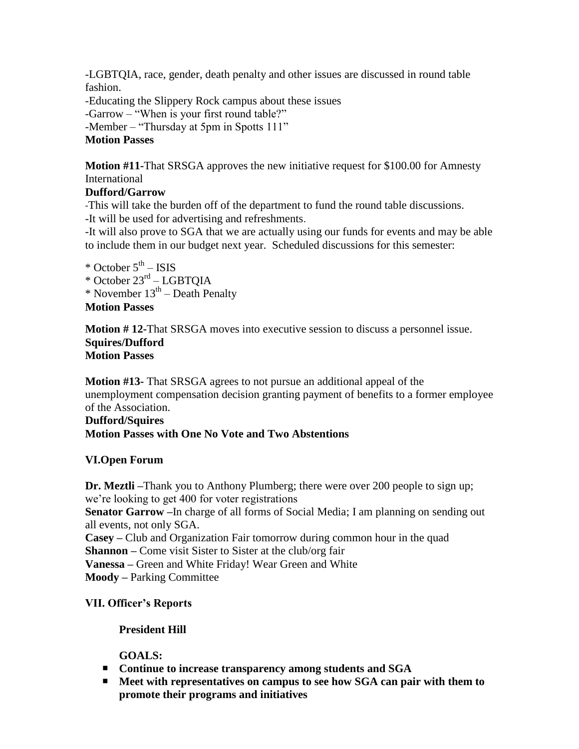-LGBTQIA, race, gender, death penalty and other issues are discussed in round table fashion.

-Educating the Slippery Rock campus about these issues -Garrow – "When is your first round table?" -Member – "Thursday at 5pm in Spotts 111" **Motion Passes**

**Motion #11-**That SRSGA approves the new initiative request for \$100.00 for Amnesty International

# **Dufford/Garrow**

-This will take the burden off of the department to fund the round table discussions.

-It will be used for advertising and refreshments.

-It will also prove to SGA that we are actually using our funds for events and may be able to include them in our budget next year. Scheduled discussions for this semester:

\* October 5<sup>th</sup> – ISIS

\* October 23rd – LGBTQIA

 $*$  November  $13<sup>th</sup>$  – Death Penalty

# **Motion Passes**

**Motion # 12-**That SRSGA moves into executive session to discuss a personnel issue. **Squires/Dufford Motion Passes**

**Motion #13-** That SRSGA agrees to not pursue an additional appeal of the unemployment compensation decision granting payment of benefits to a former employee of the Association.

# **Dufford/Squires Motion Passes with One No Vote and Two Abstentions**

# **VI.Open Forum**

**Dr. Meztli –**Thank you to Anthony Plumberg; there were over 200 people to sign up; we're looking to get 400 for voter registrations **Senator Garrow –**In charge of all forms of Social Media; I am planning on sending out all events, not only SGA. **Casey –** Club and Organization Fair tomorrow during common hour in the quad **Shannon –** Come visit Sister to Sister at the club/org fair **Vanessa –** Green and White Friday! Wear Green and White **Moody –** Parking Committee

# **VII. Officer's Reports**

# **President Hill**

**GOALS:**

- **Continue to increase transparency among students and SGA**
- Meet with representatives on campus to see how SGA can pair with them to **promote their programs and initiatives**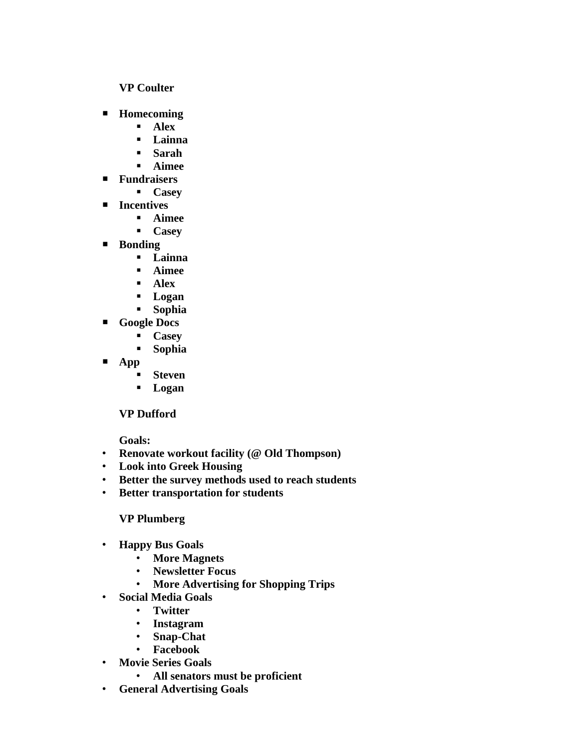### **VP Coulter**

- **Homecoming**
	- **Alex**
	- **Lainna**
	- **Sarah**
	- **Aimee**
- **Fundraisers**
	- **Casey**
- **Incentives** 
	- **Aimee**
	- **Casey**
- **Bonding**
	- **Lainna**
	- **Aimee**
	- **Alex**
	- **Logan**
	- **Sophia**
- **Google Docs**
	- **Casey**
	- **Sophia**
- **App**
	- **Steven**
	- **Logan**

# **VP Dufford**

**Goals:**

- **Renovate workout facility (@ Old Thompson)**
- **Look into Greek Housing**
- **Better the survey methods used to reach students**
- **Better transportation for students**

# **VP Plumberg**

- **Happy Bus Goals**
	- **More Magnets**
	- **Newsletter Focus**
	- **More Advertising for Shopping Trips**
- **Social Media Goals**
	- **Twitter**
	- **Instagram**
	- **Snap-Chat**
	- **Facebook**
- **Movie Series Goals**
	- **All senators must be proficient**
- **General Advertising Goals**